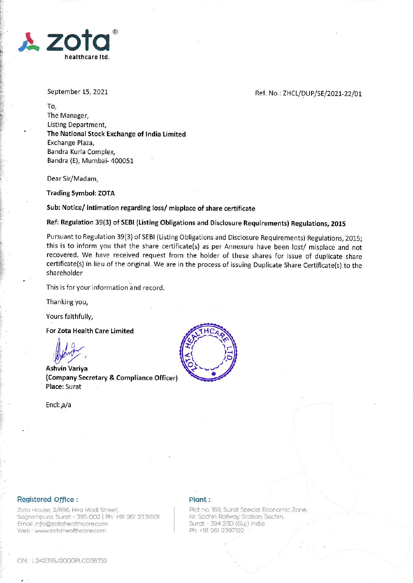

September 15,2021

## Ref. No.: ZHCL/DUP/SE/2021-22/01

To, The Manager, Listing Department, The National Stock Exchange of India Limited Exchange Plaza, Bandra Kurla Complex, Bandra (E), Mumbai- 400051

Dear Sir/Madam,

Trading Symbol: ZOTA

Sub: Notice/ intimation regarding loss/ misplace of share certificate

Ref: Regulation 39(3) of SEBI (Listing Obligations and Disclosure Requirements) Regulations, 2015

Pursuant to Regulation 39(3) of SEBI (Listing Obligations and Disclosure Requirements) Regulations, 2015; this is to inform you that the share certificate(s) as per Annexure have been lost/ misplace and not recovered. We have received request from the holder of these shares for issue of duplicate share certificate(s) in lieu of the original. We are in the process of issuing Duplicate Share Certificate(s) to the shareholder

This is for your information and record.

Thanking you,

Yours faithfully,

For Zota Health Care Limited

Ashirt.

Ashvin Variya (Company Secretary & Compliance Officer) Place: Surat

Encl:  $a/a$ 



## Registered Office :

Zota House, 2/896, Hira Modi Street, Sagrampura, Surat - 395 002 | Ph: +91 261 2331601 Email: info@zotahealthcare.com Web : www.zotahealthcare.com

## Plant :

Plot no. 169, Surat Special Economic Zone, Nr. Sachin Railway Station, Sachin, Surat - 394 230 (Guj.) India Ph: +91 261 2397122